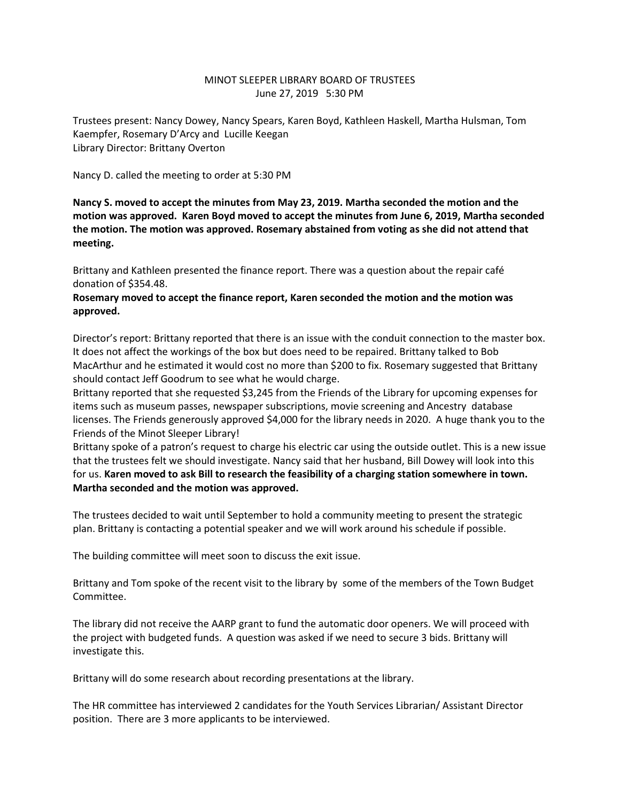## MINOT SLEEPER LIBRARY BOARD OF TRUSTEES June 27, 2019 5:30 PM

Trustees present: Nancy Dowey, Nancy Spears, Karen Boyd, Kathleen Haskell, Martha Hulsman, Tom Kaempfer, Rosemary D'Arcy and Lucille Keegan Library Director: Brittany Overton

Nancy D. called the meeting to order at 5:30 PM

**Nancy S. moved to accept the minutes from May 23, 2019. Martha seconded the motion and the motion was approved. Karen Boyd moved to accept the minutes from June 6, 2019, Martha seconded the motion. The motion was approved. Rosemary abstained from voting as she did not attend that meeting.**

Brittany and Kathleen presented the finance report. There was a question about the repair café donation of \$354.48.

## **Rosemary moved to accept the finance report, Karen seconded the motion and the motion was approved.**

Director's report: Brittany reported that there is an issue with the conduit connection to the master box. It does not affect the workings of the box but does need to be repaired. Brittany talked to Bob MacArthur and he estimated it would cost no more than \$200 to fix. Rosemary suggested that Brittany should contact Jeff Goodrum to see what he would charge.

Brittany reported that she requested \$3,245 from the Friends of the Library for upcoming expenses for items such as museum passes, newspaper subscriptions, movie screening and Ancestry database licenses. The Friends generously approved \$4,000 for the library needs in 2020. A huge thank you to the Friends of the Minot Sleeper Library!

Brittany spoke of a patron's request to charge his electric car using the outside outlet. This is a new issue that the trustees felt we should investigate. Nancy said that her husband, Bill Dowey will look into this for us. **Karen moved to ask Bill to research the feasibility of a charging station somewhere in town. Martha seconded and the motion was approved.**

The trustees decided to wait until September to hold a community meeting to present the strategic plan. Brittany is contacting a potential speaker and we will work around his schedule if possible.

The building committee will meet soon to discuss the exit issue.

Brittany and Tom spoke of the recent visit to the library by some of the members of the Town Budget Committee.

The library did not receive the AARP grant to fund the automatic door openers. We will proceed with the project with budgeted funds. A question was asked if we need to secure 3 bids. Brittany will investigate this.

Brittany will do some research about recording presentations at the library.

The HR committee has interviewed 2 candidates for the Youth Services Librarian/ Assistant Director position. There are 3 more applicants to be interviewed.